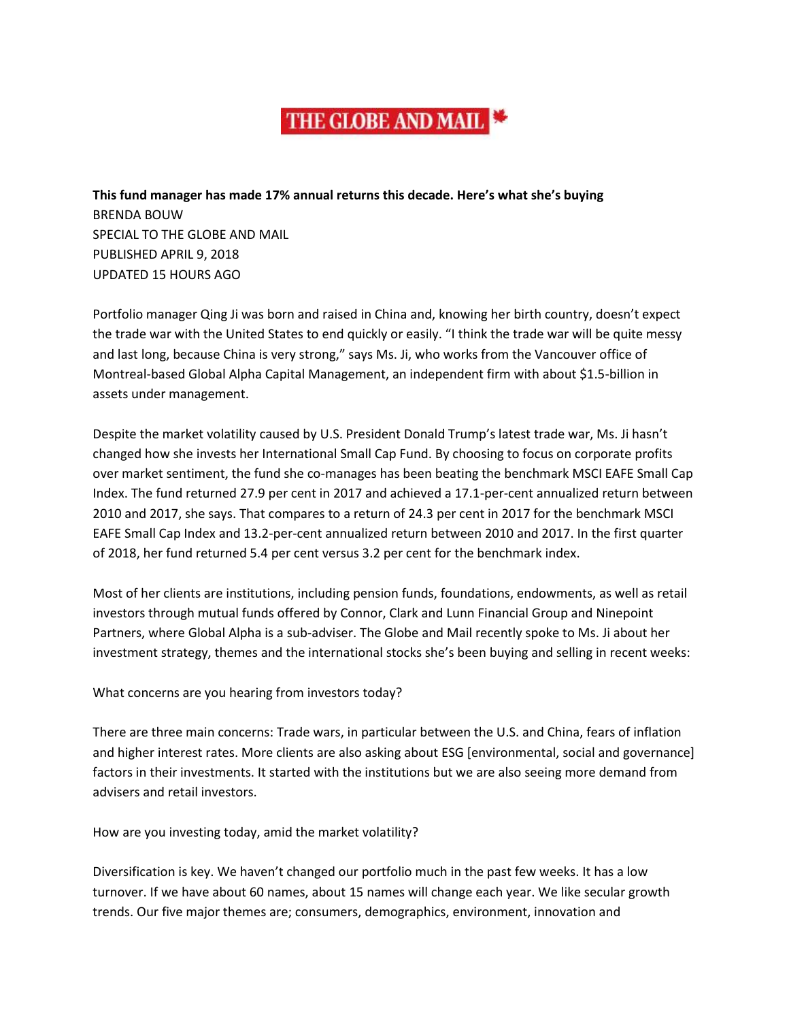## THE GLOBE AND MAIL

**This fund manager has made 17% annual returns this decade. Here's what she's buying** BRENDA BOUW SPECIAL TO THE GLOBE AND MAIL PUBLISHED APRIL 9, 2018 UPDATED 15 HOURS AGO

Portfolio manager Qing Ji was born and raised in China and, knowing her birth country, doesn't expect the trade war with the United States to end quickly or easily. "I think the trade war will be quite messy and last long, because China is very strong," says Ms. Ji, who works from the Vancouver office of Montreal-based Global Alpha Capital Management, an independent firm with about \$1.5-billion in assets under management.

Despite the market volatility caused by U.S. President Donald Trump's latest trade war, Ms. Ji hasn't changed how she invests her International Small Cap Fund. By choosing to focus on corporate profits over market sentiment, the fund she co-manages has been beating the benchmark MSCI EAFE Small Cap Index. The fund returned 27.9 per cent in 2017 and achieved a 17.1-per-cent annualized return between 2010 and 2017, she says. That compares to a return of 24.3 per cent in 2017 for the benchmark MSCI EAFE Small Cap Index and 13.2-per-cent annualized return between 2010 and 2017. In the first quarter of 2018, her fund returned 5.4 per cent versus 3.2 per cent for the benchmark index.

Most of her clients are institutions, including pension funds, foundations, endowments, as well as retail investors through mutual funds offered by Connor, Clark and Lunn Financial Group and Ninepoint Partners, where Global Alpha is a sub-adviser. The Globe and Mail recently spoke to Ms. Ji about her investment strategy, themes and the international stocks she's been buying and selling in recent weeks:

What concerns are you hearing from investors today?

There are three main concerns: Trade wars, in particular between the U.S. and China, fears of inflation and higher interest rates. More clients are also asking about ESG [environmental, social and governance] factors in their investments. It started with the institutions but we are also seeing more demand from advisers and retail investors.

How are you investing today, amid the market volatility?

Diversification is key. We haven't changed our portfolio much in the past few weeks. It has a low turnover. If we have about 60 names, about 15 names will change each year. We like secular growth trends. Our five major themes are; consumers, demographics, environment, innovation and